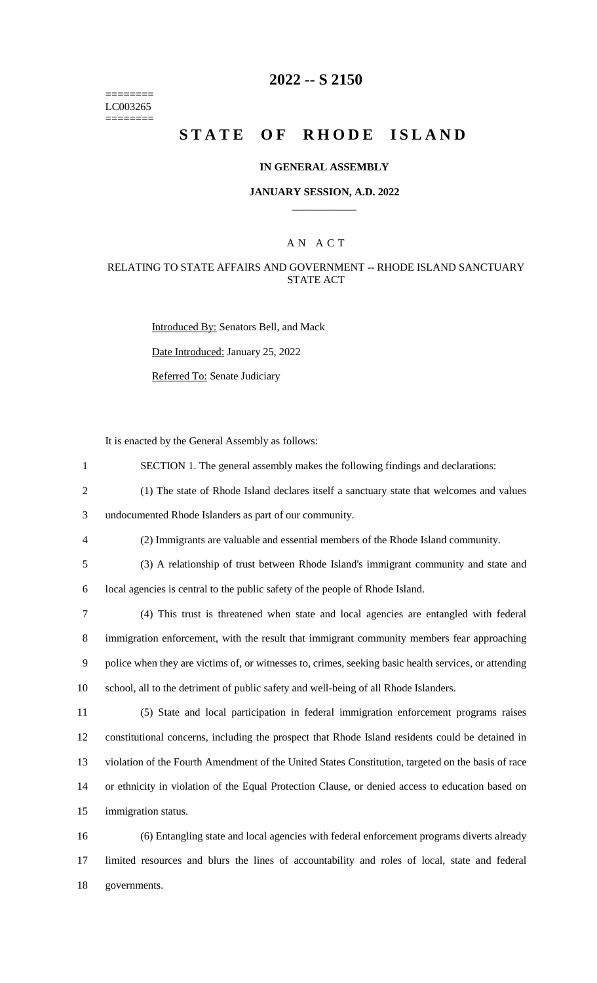======== LC003265 ========

### **2022 -- S 2150**

# **STATE OF RHODE ISLAND**

#### **IN GENERAL ASSEMBLY**

#### **JANUARY SESSION, A.D. 2022 \_\_\_\_\_\_\_\_\_\_\_\_**

### A N A C T

#### RELATING TO STATE AFFAIRS AND GOVERNMENT -- RHODE ISLAND SANCTUARY STATE ACT

Introduced By: Senators Bell, and Mack

Date Introduced: January 25, 2022

Referred To: Senate Judiciary

It is enacted by the General Assembly as follows:

|  | SECTION 1. The general assembly makes the following findings and declarations: |  |
|--|--------------------------------------------------------------------------------|--|
|  |                                                                                |  |

2 (1) The state of Rhode Island declares itself a sanctuary state that welcomes and values

3 undocumented Rhode Islanders as part of our community.

- 4 (2) Immigrants are valuable and essential members of the Rhode Island community.
- 5 (3) A relationship of trust between Rhode Island's immigrant community and state and 6 local agencies is central to the public safety of the people of Rhode Island.
- 7 (4) This trust is threatened when state and local agencies are entangled with federal 8 immigration enforcement, with the result that immigrant community members fear approaching 9 police when they are victims of, or witnesses to, crimes, seeking basic health services, or attending 10 school, all to the detriment of public safety and well-being of all Rhode Islanders.
- 11 (5) State and local participation in federal immigration enforcement programs raises 12 constitutional concerns, including the prospect that Rhode Island residents could be detained in 13 violation of the Fourth Amendment of the United States Constitution, targeted on the basis of race 14 or ethnicity in violation of the Equal Protection Clause, or denied access to education based on 15 immigration status.

16 (6) Entangling state and local agencies with federal enforcement programs diverts already 17 limited resources and blurs the lines of accountability and roles of local, state and federal 18 governments.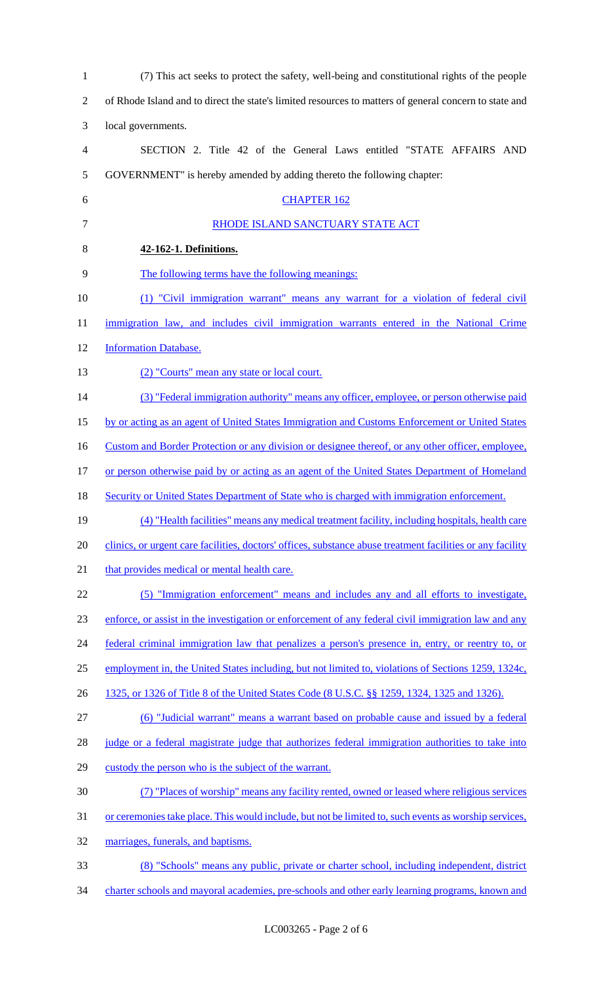| $\mathbf{1}$             | (7) This act seeks to protect the safety, well-being and constitutional rights of the people               |
|--------------------------|------------------------------------------------------------------------------------------------------------|
| $\overline{2}$           | of Rhode Island and to direct the state's limited resources to matters of general concern to state and     |
| 3                        | local governments.                                                                                         |
| $\overline{\mathcal{A}}$ | SECTION 2. Title 42 of the General Laws entitled "STATE AFFAIRS AND                                        |
| 5                        | GOVERNMENT" is hereby amended by adding thereto the following chapter:                                     |
| 6                        | <b>CHAPTER 162</b>                                                                                         |
| $\tau$                   | RHODE ISLAND SANCTUARY STATE ACT                                                                           |
| 8                        | 42-162-1. Definitions.                                                                                     |
| 9                        | The following terms have the following meanings:                                                           |
| 10                       | (1) "Civil immigration warrant" means any warrant for a violation of federal civil                         |
| 11                       | immigration law, and includes civil immigration warrants entered in the National Crime                     |
| 12                       | <b>Information Database.</b>                                                                               |
| 13                       | (2) "Courts" mean any state or local court.                                                                |
| 14                       | (3) "Federal immigration authority" means any officer, employee, or person otherwise paid                  |
| 15                       | by or acting as an agent of United States Immigration and Customs Enforcement or United States             |
| 16                       | Custom and Border Protection or any division or designee thereof, or any other officer, employee,          |
| 17                       | or person otherwise paid by or acting as an agent of the United States Department of Homeland              |
| 18                       | <b>Security or United States Department of State who is charged with immigration enforcement.</b>          |
| 19                       | (4) "Health facilities" means any medical treatment facility, including hospitals, health care             |
| 20                       | clinics, or urgent care facilities, doctors' offices, substance abuse treatment facilities or any facility |
| 21                       | that provides medical or mental health care.                                                               |
| 22                       | (5) "Immigration enforcement" means and includes any and all efforts to investigate,                       |
| 23                       | enforce, or assist in the investigation or enforcement of any federal civil immigration law and any        |
| 24                       | federal criminal immigration law that penalizes a person's presence in, entry, or reentry to, or           |
| 25                       | employment in, the United States including, but not limited to, violations of Sections 1259, 1324c,        |
| 26                       | 1325, or 1326 of Title 8 of the United States Code (8 U.S.C. §§ 1259, 1324, 1325 and 1326).                |
| 27                       | (6) "Judicial warrant" means a warrant based on probable cause and issued by a federal                     |
| 28                       | judge or a federal magistrate judge that authorizes federal immigration authorities to take into           |
| 29                       | custody the person who is the subject of the warrant.                                                      |
| 30                       | (7) "Places of worship" means any facility rented, owned or leased where religious services                |
| 31                       | or ceremonies take place. This would include, but not be limited to, such events as worship services,      |
| 32                       | marriages, funerals, and baptisms.                                                                         |
| 33                       | (8) "Schools" means any public, private or charter school, including independent, district                 |
| 34                       | charter schools and mayoral academies, pre-schools and other early learning programs, known and            |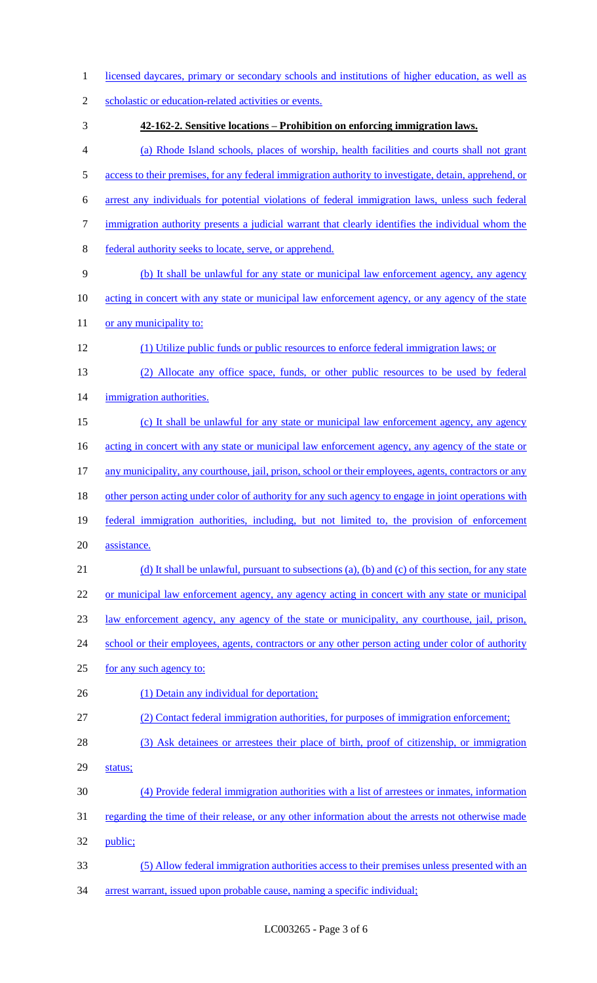| $\mathbf{1}$   | licensed daycares, primary or secondary schools and institutions of higher education, as well as      |
|----------------|-------------------------------------------------------------------------------------------------------|
| $\overline{2}$ | scholastic or education-related activities or events.                                                 |
| 3              | 42-162-2. Sensitive locations – Prohibition on enforcing immigration laws.                            |
| 4              | (a) Rhode Island schools, places of worship, health facilities and courts shall not grant             |
| 5              | access to their premises, for any federal immigration authority to investigate, detain, apprehend, or |
| 6              | arrest any individuals for potential violations of federal immigration laws, unless such federal      |
| 7              | immigration authority presents a judicial warrant that clearly identifies the individual whom the     |
| 8              | federal authority seeks to locate, serve, or apprehend.                                               |
| 9              | (b) It shall be unlawful for any state or municipal law enforcement agency, any agency                |
| 10             | acting in concert with any state or municipal law enforcement agency, or any agency of the state      |
| 11             | or any municipality to:                                                                               |
| 12             | (1) Utilize public funds or public resources to enforce federal immigration laws; or                  |
| 13             | (2) Allocate any office space, funds, or other public resources to be used by federal                 |
| 14             | immigration authorities.                                                                              |
| 15             | (c) It shall be unlawful for any state or municipal law enforcement agency, any agency                |
| 16             | acting in concert with any state or municipal law enforcement agency, any agency of the state or      |
| 17             | any municipality, any courthouse, jail, prison, school or their employees, agents, contractors or any |
| 18             | other person acting under color of authority for any such agency to engage in joint operations with   |
| 19             | federal immigration authorities, including, but not limited to, the provision of enforcement          |
| 20             | assistance.                                                                                           |
| 21             | (d) It shall be unlawful, pursuant to subsections (a), (b) and (c) of this section, for any state     |
| 22             | or municipal law enforcement agency, any agency acting in concert with any state or municipal         |
| 23             | <u>law enforcement agency, any agency of the state or municipality, any courthouse, jail, prison,</u> |
| 24             | school or their employees, agents, contractors or any other person acting under color of authority    |
| 25             | for any such agency to:                                                                               |
| 26             | (1) Detain any individual for deportation;                                                            |
| 27             | (2) Contact federal immigration authorities, for purposes of immigration enforcement;                 |
| 28             | (3) Ask detainees or arrestees their place of birth, proof of citizenship, or immigration             |
| 29             | status;                                                                                               |
| 30             | (4) Provide federal immigration authorities with a list of arrestees or inmates, information          |
| 31             | regarding the time of their release, or any other information about the arrests not otherwise made    |
| 32             | public;                                                                                               |
| 33             | (5) Allow federal immigration authorities access to their premises unless presented with an           |
| 34             | arrest warrant, issued upon probable cause, naming a specific individual;                             |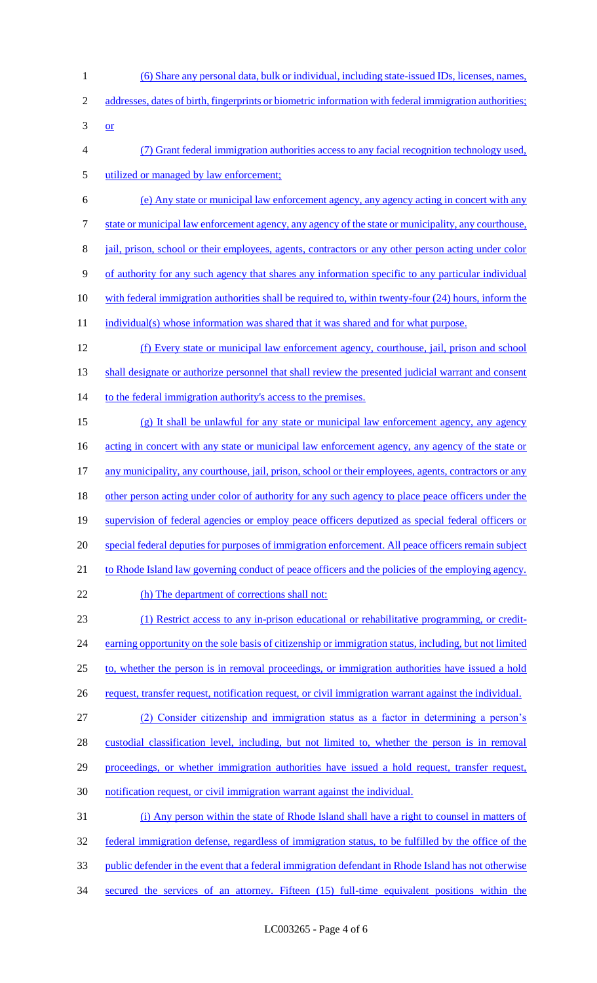1 (6) Share any personal data, bulk or individual, including state-issued IDs, licenses, names, 2 addresses, dates of birth, fingerprints or biometric information with federal immigration authorities;  $3 \quad or \quad$ 4 (7) Grant federal immigration authorities access to any facial recognition technology used, 5 utilized or managed by law enforcement; 6 (e) Any state or municipal law enforcement agency, any agency acting in concert with any 7 state or municipal law enforcement agency, any agency of the state or municipality, any courthouse, 8 jail, prison, school or their employees, agents, contractors or any other person acting under color 9 of authority for any such agency that shares any information specific to any particular individual 10 with federal immigration authorities shall be required to, within twenty-four (24) hours, inform the 11 individual(s) whose information was shared that it was shared and for what purpose. 12 (f) Every state or municipal law enforcement agency, courthouse, jail, prison and school 13 shall designate or authorize personnel that shall review the presented judicial warrant and consent 14 to the federal immigration authority's access to the premises. 15 (g) It shall be unlawful for any state or municipal law enforcement agency, any agency 16 acting in concert with any state or municipal law enforcement agency, any agency of the state or 17 any municipality, any courthouse, jail, prison, school or their employees, agents, contractors or any 18 other person acting under color of authority for any such agency to place peace officers under the 19 supervision of federal agencies or employ peace officers deputized as special federal officers or 20 special federal deputies for purposes of immigration enforcement. All peace officers remain subject 21 to Rhode Island law governing conduct of peace officers and the policies of the employing agency. 22 (h) The department of corrections shall not: 23 (1) Restrict access to any in-prison educational or rehabilitative programming, or credit-24 earning opportunity on the sole basis of citizenship or immigration status, including, but not limited 25 to, whether the person is in removal proceedings, or immigration authorities have issued a hold 26 request, transfer request, notification request, or civil immigration warrant against the individual. 27 (2) Consider citizenship and immigration status as a factor in determining a person's 28 custodial classification level, including, but not limited to, whether the person is in removal 29 proceedings, or whether immigration authorities have issued a hold request, transfer request, 30 notification request, or civil immigration warrant against the individual. 31 (i) Any person within the state of Rhode Island shall have a right to counsel in matters of 32 federal immigration defense, regardless of immigration status, to be fulfilled by the office of the 33 public defender in the event that a federal immigration defendant in Rhode Island has not otherwise 34 secured the services of an attorney. Fifteen (15) full-time equivalent positions within the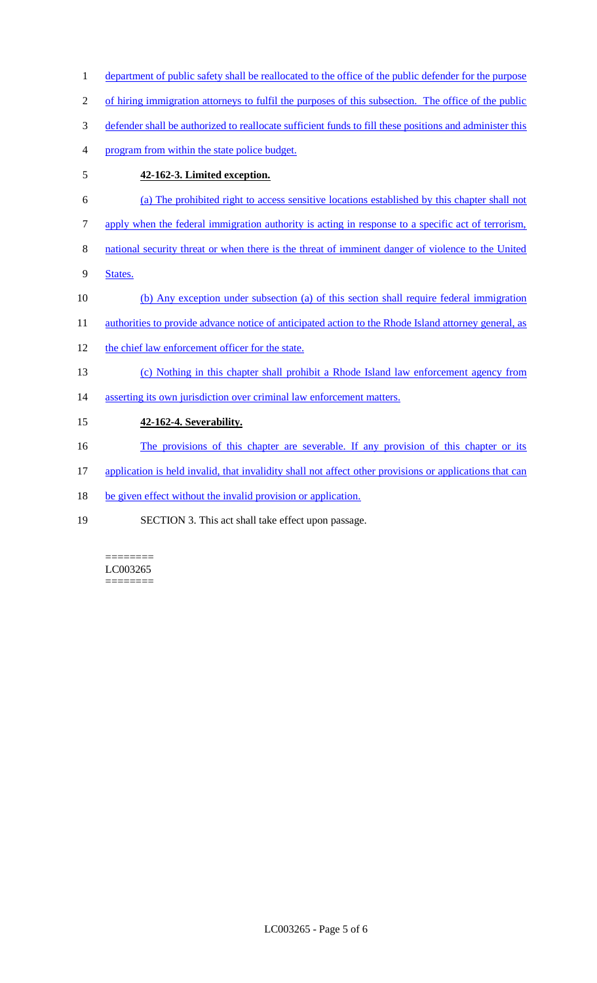1 department of public safety shall be reallocated to the office of the public defender for the purpose 2 of hiring immigration attorneys to fulfil the purposes of this subsection. The office of the public 3 defender shall be authorized to reallocate sufficient funds to fill these positions and administer this 4 program from within the state police budget. 5 **42-162-3. Limited exception.**  6 (a) The prohibited right to access sensitive locations established by this chapter shall not 7 apply when the federal immigration authority is acting in response to a specific act of terrorism, 8 national security threat or when there is the threat of imminent danger of violence to the United 9 States. 10 (b) Any exception under subsection (a) of this section shall require federal immigration 11 authorities to provide advance notice of anticipated action to the Rhode Island attorney general, as 12 the chief law enforcement officer for the state. 13 (c) Nothing in this chapter shall prohibit a Rhode Island law enforcement agency from 14 asserting its own jurisdiction over criminal law enforcement matters. 15 **42-162-4. Severability.**  16 The provisions of this chapter are severable. If any provision of this chapter or its 17 application is held invalid, that invalidity shall not affect other provisions or applications that can 18 be given effect without the invalid provision or application. 19 SECTION 3. This act shall take effect upon passage.

======== LC003265 ========